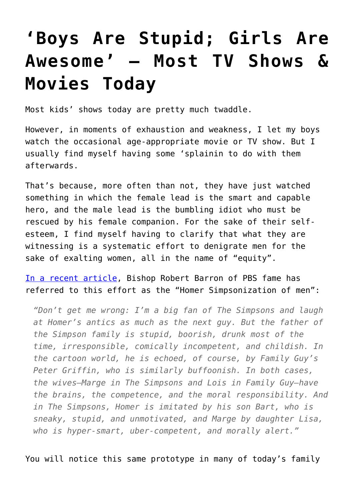## **['Boys Are Stupid; Girls Are](https://intellectualtakeout.org/2016/10/boys-are-stupid-girls-are-awesome-most-tv-shows-movies-today/) [Awesome' – Most TV Shows &](https://intellectualtakeout.org/2016/10/boys-are-stupid-girls-are-awesome-most-tv-shows-movies-today/) [Movies Today](https://intellectualtakeout.org/2016/10/boys-are-stupid-girls-are-awesome-most-tv-shows-movies-today/)**

Most kids' shows today are pretty much twaddle.

However, in moments of exhaustion and weakness, I let my boys watch the occasional age-appropriate movie or TV show. But I usually find myself having some 'splainin to do with them afterwards.

That's because, more often than not, they have just watched something in which the female lead is the smart and capable hero, and the male lead is the bumbling idiot who must be rescued by his female companion. For the sake of their selfesteem, I find myself having to clarify that what they are witnessing is a systematic effort to denigrate men for the sake of exalting women, all in the name of "equity".

[In a recent article,](http://www.wordonfire.org/resources/article/the-trouble-with-the-you-go-girl-culture/5291/) Bishop Robert Barron of PBS fame has referred to this effort as the "Homer Simpsonization of men":

*"Don't get me wrong: I'm a big fan of The Simpsons and laugh at Homer's antics as much as the next guy. But the father of the Simpson family is stupid, boorish, drunk most of the time, irresponsible, comically incompetent, and childish. In the cartoon world, he is echoed, of course, by Family Guy's Peter Griffin, who is similarly buffoonish. In both cases, the wives—Marge in The Simpsons and Lois in Family Guy—have the brains, the competence, and the moral responsibility. And in The Simpsons, Homer is imitated by his son Bart, who is sneaky, stupid, and unmotivated, and Marge by daughter Lisa, who is hyper-smart, uber-competent, and morally alert."*

You will notice this same prototype in many of today's family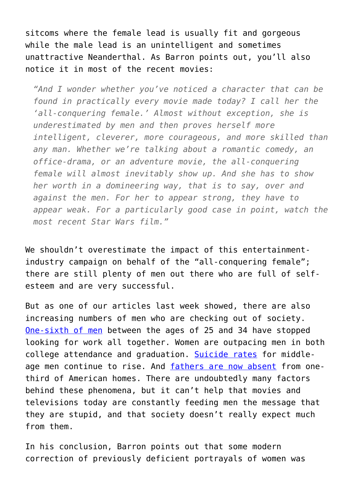sitcoms where the female lead is usually fit and gorgeous while the male lead is an unintelligent and sometimes unattractive Neanderthal. As Barron points out, you'll also notice it in most of the recent movies:

*"And I wonder whether you've noticed a character that can be found in practically every movie made today? I call her the 'all-conquering female.' Almost without exception, she is underestimated by men and then proves herself more intelligent, cleverer, more courageous, and more skilled than any man. Whether we're talking about a romantic comedy, an office-drama, or an adventure movie, the all-conquering female will almost inevitably show up. And she has to show her worth in a domineering way, that is to say, over and against the men. For her to appear strong, they have to appear weak. For a particularly good case in point, watch the most recent Star Wars film."*

We shouldn't overestimate the impact of this entertainmentindustry campaign on behalf of the "all-conquering female"; there are still plenty of men out there who are full of selfesteem and are very successful.

But as one of our articles last week showed, there are also increasing numbers of men who are checking out of society. [One-sixth of men](https://www.intellectualtakeout.org/blog/americas-ghost-legions-idle-men) between the ages of 25 and 34 have stopped looking for work all together. Women are outpacing men in both college attendance and graduation. [Suicide rates](http://health.usnews.com/wellness/mind/articles/2016-10-19/why-suicide-keeps-rising-for-middle-aged-men) for middleage men continue to rise. And [fathers are now absent](http://www.washingtontimes.com/news/2012/dec/25/fathers-disappear-from-households-across-america/) from onethird of American homes. There are undoubtedly many factors behind these phenomena, but it can't help that movies and televisions today are constantly feeding men the message that they are stupid, and that society doesn't really expect much from them.

In his conclusion, Barron points out that some modern correction of previously deficient portrayals of women was